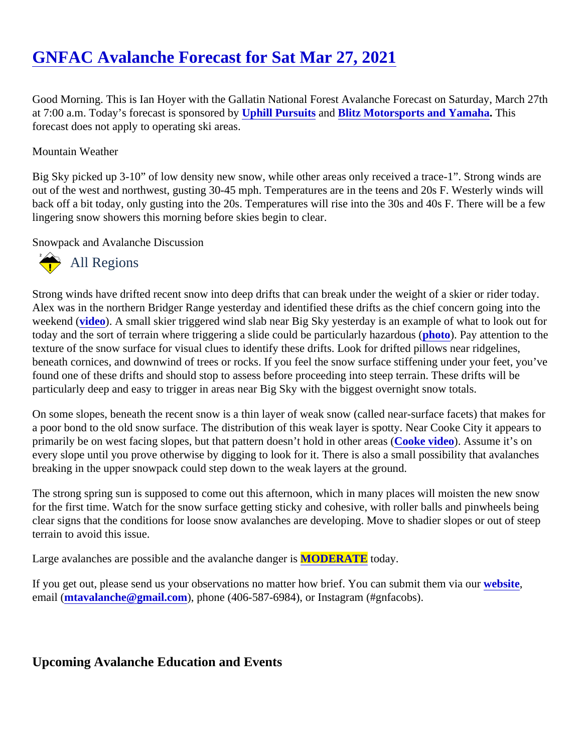Good Morning. This is Ian Hoyer with the Gallatin National Forest Avalanche Forecast on Saturday, March 27th at 7:00 a.m. Today's forecast is sponsore[d by Uphill Pursuits](http://uphillpursuits.com/index.html) and [Blitz Motorsports and Yamaha](https://www.blitzmotorsportsmt.com/). This forecast does not apply to operating ski areas.

## Mountain Weather

Big Sky picked up 3-10" of low density new snow, while other areas only received a trace-1". Strong winds are out of the west and northwest, gusting 30-45 mph. Temperatures are in the teens and 20s F. Westerly winds back off a bit today, only gusting into the 20s. Temperatures will rise into the 30s and 40s F. There will be a fe lingering snow showers this morning before skies begin to clear.

Snowpack and Avalanche Discussion

## All Regions

Strong winds have drifted recent snow into deep drifts that can break under the weight of a skier or rider toda Alex was in the northern Bridger Range yesterday and identified these drifts as the chief concern going into th weekend (ideo). A small skier triggered wind slab near Big Sky yesterday is an example of what to look out for today and the sort of terrain where triggering a slide could be particularly haz[ardous](https://www.mtavalanche.com/images/21/wind-slab-middle-basin). (Pay attention to the texture of the snow surface for visual clues to identify these drifts. Look for drifted pillows near ridgelines, beneath cornices, and downwind of trees or rocks. If you feel the snow surface stiffening under your feet, you found one of these drifts and should stop to assess before proceeding into steep terrain. These drifts will be particularly deep and easy to trigger in areas near Big Sky with the biggest overnight snow totals.

On some slopes, beneath the recent snow is a thin layer of weak snow (called near-surface facets) that make a poor bond to the old snow surface. The distribution of this weak layer is spotty. Near Cooke City it appears primarily be on west facing slopes, but that pattern doesn't hold in other areas (vided). Assume it's on every slope until you prove otherwise by digging to look for it. There is also a small possibility that avalanches breaking in the upper snowpack could step down to the weak layers at the ground.

The strong spring sun is supposed to come out this afternoon, which in many places will moisten the new snow for the first time. Watch for the snow surface getting sticky and cohesive, with roller balls and pinwheels being clear signs that the conditions for loose snow avalanches are developing. Move to shadier slopes or out of ste terrain to avoid this issue.

Large avalanches are possible and the avalanche daMODERATE today.

If you get out, please send us your observations no matter how brief. You can submit them velasition email [\(mtavalanche@gmail.com](mailto:mtavalanche@gmail.com)), phone (406-587-6984), or Instagram (#gnfacobs).

Upcoming Avalanche Education and Events